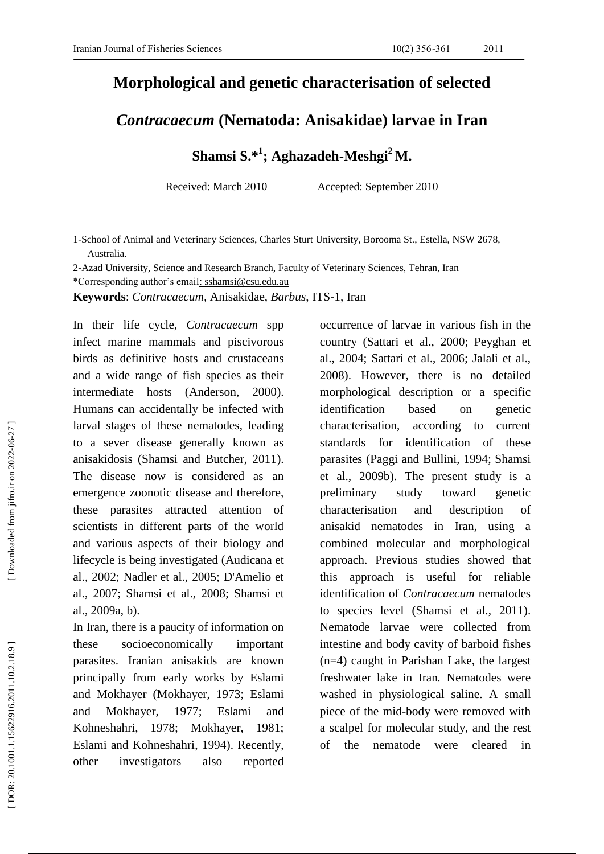## **Morphological and genetic characterisation of selected**

## *Contracaecum* **(Nematoda: Anisakidae) larva e in Iran**

**Shamsi S. \* 1 ; Aghazadeh -Meshgi <sup>2</sup> M.**

Received: March 2010 Accepted: September 2010

1 -School of Animal and Veterinary Sciences, Charles Sturt University, Borooma St., Estella, NSW 2678, Australia .

2 -Azad University, Science and Research Branch, Faculty of Veterinary Sciences, Tehran, Iran

\*Corresponding author's email: [sshamsi@csu.edu.au](mailto:shamsi@csu.edu.au)

**Keywords**: *Contracaecum,* Anisakidae, *Barbus*, ITS -1, Iran

In their life cycle, *Contracaecum* spp infect marine mammals and piscivorous birds as definitive hosts and crustaceans and a wide range of fish species as their intermediate hosts (Anderson, 2000 2000). Human s can accidentally be infected with larval stages of these nematodes, leading to a sever disease generally known as anisakidosis (Shamsi and Butcher, 2011 ). The disease now is considered as an emergence zoonotic disease and therefore, these parasites attracted attention of scientists in different parts of the world and various aspects of their biology and lifecycle is being investigated (Audicana et al., 2002; Nadler et al., 2005; D'Amelio et al., 2007; Shamsi et al., 2008; Shamsi et al., 2009a, b).

In Iran, there is a paucity of information on these socioeconomically important parasites. Iranian anisakids are known principally from early works by Eslami and Mokhayer (Mokhayer, 1973; Eslami and Mokhayer, 1977; Eslami and Kohneshahri, 1978; Mokhayer, 1981; Eslami and Kohneshahri, 1994). Recently, other investigators also reported occurrence of larvae in various fish in the country (Sattari et al., 2000; Peyghan et al., 2004; Sattari et al., 2006; Jalali et al., 2008). However, there is no detailed morphological description or a specific identification based on genetic characterisation , according to current standards for identification of these parasites (Paggi and Bullini, 1994; Shamsi et al., 2009b). The present study is a preliminary study toward genetic characterisation and description of anisakid nematodes in Iran, using a combined molecular and morphological approach. Previous studies showed that this approach is useful for reliable identification of *Contracaecum* nematodes to species level (Shamsi et al., 2011 ) . Nematode larvae were collected from intestine and body cavity of barboid fishes (n=4) caught in Parishan Lake, the largest freshwater lake in Iran *.* Nematodes were washed in physiological saline. A small piece of the mid -body were removed with a scalpel for molecular study, and the rest of the nematode were cleared in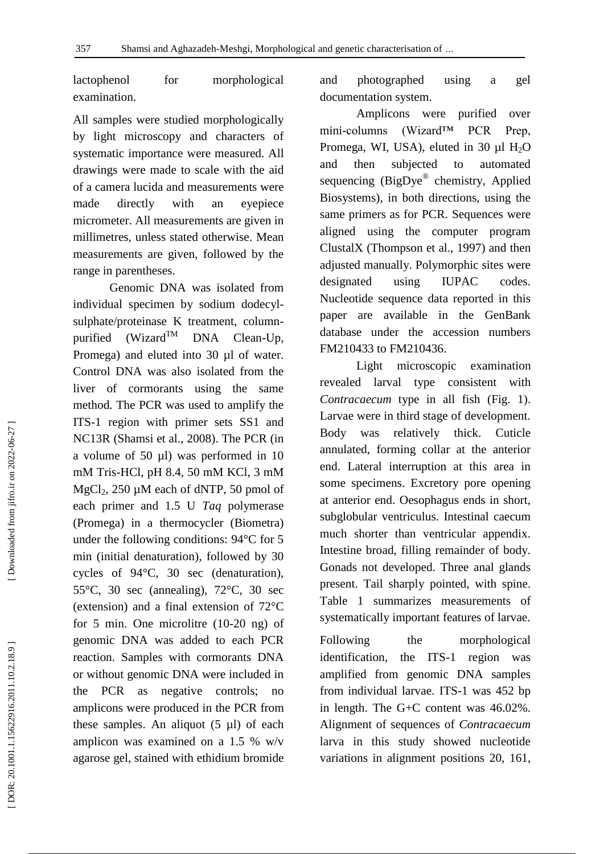lactophenol for morphological examination.

All samples were studied morphologically by light microscopy and characters of systematic importance were measured. All drawings were made to scale with the aid of a camera lucida and measurements were made directly with an eyepiece micrometer. All measurements are given in millimetres, unless stated otherwise. Mean measurements are given, followed by the range in parentheses.

Genomic DNA was isolated from individual specimen by sodium dodecyl sulphate/proteinase K treatment, column purified  $(Wizard^{TM}$  DNA Clean-Up, Promega) and eluted into 30 µl of water. Control DNA was also isolated from the liver of cormorants using the same method. The PCR was used to amplify the ITS -1 region with primer sets SS1 and NC13R (Shamsi et al., 2008 ). The PCR (in a volume of 50 µl) was performed in 10 mM Tris -HCl, pH 8.4, 50 mM KCl, 3 mM MgCl<sub>2</sub>, 250 µM each of dNTP, 50 pmol of each primer and 1.5 U *Taq* polymerase (Promega) in a thermocycler (Biometra) under the following conditions: 94°C for 5 min (initial denaturation), followed by 30 cycles of 94°C, 30 sec (denaturation), 55°C, 30 sec (annealing), 72°C, 30 sec (extension) and a final extension of 72°C for 5 min. One microlitre (10 -20 ng) of genomic DNA was added to each PCR reaction. Samples with cormorants DNA or without genomic DNA were included in the PCR as negative controls; no amplicons were produced in the PCR from these samples. An aliquot (5 µl) of each amplicon was examined on a 1.5 % w/v agarose gel, stained with ethidium bromide

and photographed using a gel documentation system .

Amplicons were purified over mini-columns  $(Wizard<sup>TM</sup> PCR$  Prep, Promega, WI, USA), eluted in 30  $\mu$ l H<sub>2</sub>O and then subjected to automated sequencing (BigDye® chemistry, Applied Biosystems), in both directions, using the same primers as for PCR. Sequences were aligned using the computer program ClustalX (Thompson et al., 1997 ) and then adjusted manually. Polymorphic sites were designated using IUPAC codes. Nucleotide sequence data reported in this paper are available in the GenBank database under the accession numbers FM210433 to FM210436.

Light microscopic examination revealed larval type consistent with *Contracaecum* type in all fish (Fig. 1). Larvae were in third stage of development. Body was relatively thick. Cuticle annulated, forming collar at the anterior end. Lateral interruption at this area in some specimens. Excretory pore opening at anterior end. Oesophagus ends in short, subglobular ventriculus. Intestinal caecum much shorter than ventricular appendix. Intestine broad, filling remainder of body. Gonads not developed. Three anal glands present. Tail sharply pointed, with spine. Table 1 summarizes measurements of systematically important features of larvae.

Following the morphological identification, the ITS-1 region was amplified from genomic DNA samples from individual larvae. ITS -1 was 452 bp in length. The G+C content was 46.02%. Alignment of sequences of *Contracaecum*  larva in this study showed nucleotide variations in alignment positions 20, 161,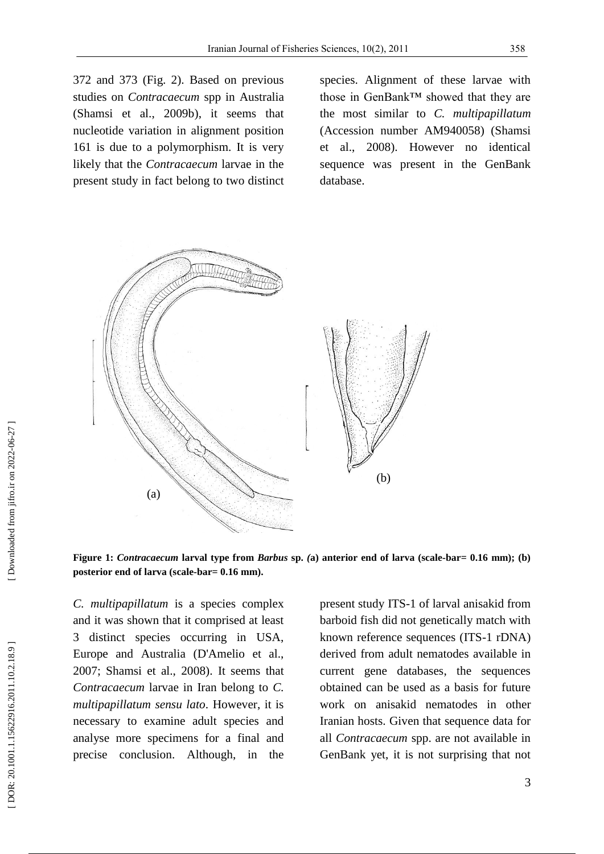372 and 373 (Fig. 2). Based on previous studies on *Contracaecum* spp in Australia (Shamsi et al., 2009b), it seems that nucleotide variation in alignment position 161 is due to a polymorphism. It is very likely that the *Contracaecum* larvae in the present study in fact belong to two distinct

species. Alignment of these larvae with those in GenBank™ showed that they are the most similar to *C. multipapillatum*  (Accession number AM940058) (Shamsi et al., 2008 ). However no identical sequence was present in the GenBank database.



**Figure** 1: *Contracaecum* larval type from *Barbus* sp. (a) anterior end of larva (scale-bar= 0.16 mm); (b) posterior end of larva (scale-bar=  $0.16$  mm).

*C. multipapillatum* is a species complex and it was shown that it comprised at least 3 distinct species occurring in USA, Europe and Australia (D'Amelio et al., 2007; Shamsi et al., 2008). It seems that *Contracaecum* larvae in Iran belong to *C. multipapillatum sensu lato*. However, it is necessary to examine adult species and analyse more specimens for a final and precise conclusion. Although, in the present study ITS -1 of larval anisakid from barboid fish did not genetically match with known reference sequences (ITS -1 rDNA) derived from adult nematodes available in current gene databases, the sequences obtained can be used as a basis for future work on anisakid nematodes in other Iranian hosts. Given that sequence data for all *Contracaecum* spp. are not available in GenBank yet, it is not surprising that not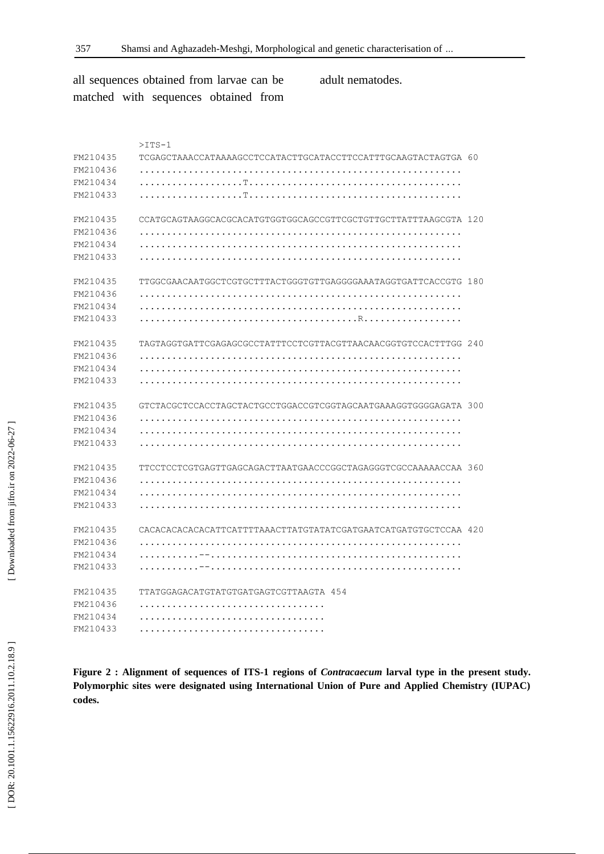[\[ DOR: 20.1001.1.15622916.2011.10.2.18](https://dorl.net/dor/20.1001.1.15622916.2011.10.2.18.9).9 ] [\[ Downloaded from jifro.ir on 2022-06-27](http://jifro.ir/article-1-184-fa.html) ] [DOR: 20.1001.1.15622916.2011.10.2.18.9]

[Downloaded from jifro.ir on 2022-06-27]

all sequences obtained from larvae can be matched with sequences obtained from adult nematodes.

|          | $>$ ITS-1                                                       |  |
|----------|-----------------------------------------------------------------|--|
| FM210435 | TCGAGCTAAACCATAAAAGCCTCCATACTTGCATACCTTCCATTTGCAAGTACTAGTGA 60  |  |
| FM210436 |                                                                 |  |
| FM210434 |                                                                 |  |
| FM210433 |                                                                 |  |
| FM210435 | CCATGCAGTAAGGCACGCACATGTGGTGGCAGCCGTTCGCTGTTGCTTATTTAAGCGTA 120 |  |
| FM210436 |                                                                 |  |
| FM210434 |                                                                 |  |
| FM210433 |                                                                 |  |
| FM210435 | TTGGCGAACAATGGCTCGTGCTTTACTGGGTGTTGAGGGGAAATAGGTGATTCACCGTG 180 |  |
| FM210436 |                                                                 |  |
| FM210434 |                                                                 |  |
| FM210433 |                                                                 |  |
| FM210435 | TAGTAGGTGATTCGAGAGCGCCTATTTCCTCGTTACGTTAACAACGGTGTCCACTTTGG 240 |  |
| FM210436 |                                                                 |  |
| FM210434 |                                                                 |  |
| FM210433 |                                                                 |  |
| FM210435 | GTCTACGCTCCACCTAGCTACTGCCTGGACCGTCGGTAGCAATGAAAGGTGGGGAGATA 300 |  |
| FM210436 |                                                                 |  |
| FM210434 |                                                                 |  |
| FM210433 |                                                                 |  |
| FM210435 | TTCCTCCTCGTGAGTTGAGCAGACTTAATGAACCCGGCTAGAGGGTCGCCAAAAACCAA 360 |  |
| FM210436 |                                                                 |  |
| FM210434 |                                                                 |  |
| FM210433 |                                                                 |  |
| FM210435 | CACACACACACACATTCATTTTAAACTTATGTATATCGATGAATCATGATGTGCTCCAA 420 |  |
| FM210436 |                                                                 |  |
| FM210434 |                                                                 |  |
| FM210433 |                                                                 |  |
| FM210435 | TTATGGAGACATGTATGTGATGAGTCGTTAAGTA 454                          |  |
| FM210436 |                                                                 |  |
| FM210434 |                                                                 |  |
| FM210433 |                                                                 |  |

**Figure 2 : Alignment of sequences of ITS -1 regions of** *Contracaecum* **larval type in the present study. Polymorphic sites were designated using International Union of Pure and Applied Chemistry (IUPAC) codes.**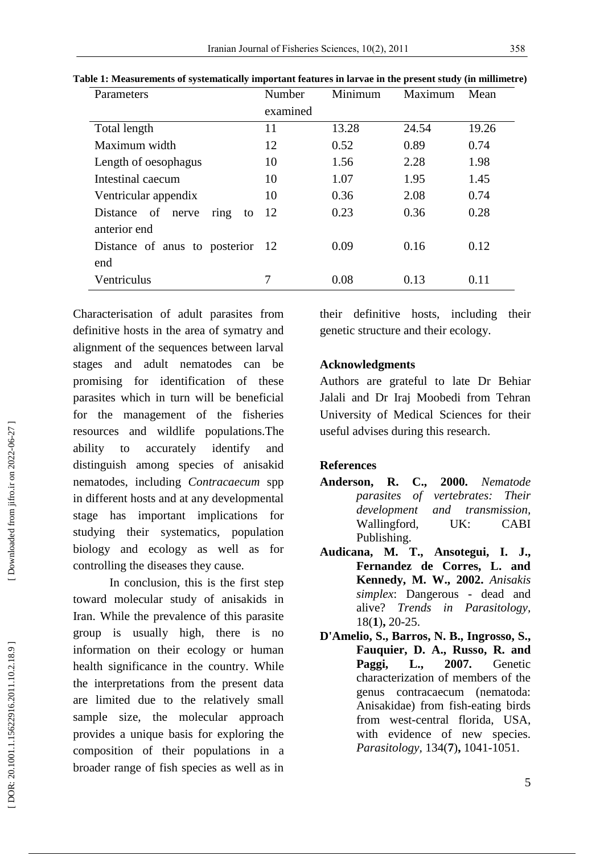| Parameters                       | Number   | Minimum | Maximum | Mean  |
|----------------------------------|----------|---------|---------|-------|
|                                  | examined |         |         |       |
| Total length                     | 11       | 13.28   | 24.54   | 19.26 |
| Maximum width                    | 12       | 0.52    | 0.89    | 0.74  |
| Length of oesophagus             | 10       | 1.56    | 2.28    | 1.98  |
| Intestinal caecum                | 10       | 1.07    | 1.95    | 1.45  |
| Ventricular appendix             | 10       | 0.36    | 2.08    | 0.74  |
| Distance of nerve<br>ring<br>to  | 12       | 0.23    | 0.36    | 0.28  |
| anterior end                     |          |         |         |       |
| Distance of anus to posterior 12 |          | 0.09    | 0.16    | 0.12  |
| end                              |          |         |         |       |
| Ventriculus                      | 7        | 0.08    | 0.13    | 0.11  |

**Table 1: Measurements of systematically important feature s in larvae in the present study (in millimetre)**

Characterisation of adult parasites from definitive hosts in the area of symatry and alignment of the sequences between larval stages and adult nematodes can be promising for identification of these parasites which in turn will be beneficial for the management of the fisheries resources and wildlife populations.The ability to accurately identify and distinguish among species of anisakid nematodes, including *Contracaecum* spp in different hosts and at any developmental stage has important implications for studying their systematics, population biology and ecology as well as for controlling the diseases they cause.

In conclusion, this is the first step toward molecular study of anisakids in Iran . While the prevalence of this parasite group is usually high, there is no information on their ecology or human health significance in the country. While the interpretations from the present data are limited due to the relatively small sample size, the molecular approach provides a unique basis for exploring the composition of their populations in a broader range of fish species as well as in

their definitive hosts, including their genetic structure and their ecology.

## **Acknowledgment s**

Authors are grateful to late Dr Behiar Jalali and Dr Iraj Moobedi from Tehran University of Medical Sciences for their useful advises during this research .

## **References**

- **Anderson, R. C., 2000.** *Nematode parasites of vertebrates: Their development and transmission,*  Wallingford, UK: CABI Publishing.
- **Audicana, M. T., Ansotegui, I. J., Fernandez de Corres, L. and Kennedy, M. W., 2002.** *Anisakis simplex*: Dangerous - dead and alive? *Trends in Parasitology,* 18( **1** ) **,** 20 -25.
- **D'Amelio, S., Barros, N. B., Ingrosso, S., Fauquier, D. A., Russo, R. and Paggi, L., 2007.** Genetic characterization of members of the genus contracaecum (nematoda: Anisakidae) from fish -eating birds from west -central florida, USA, with evidence of new species. *Parasitology,* 134( **7** ) **,** 1041 -1051.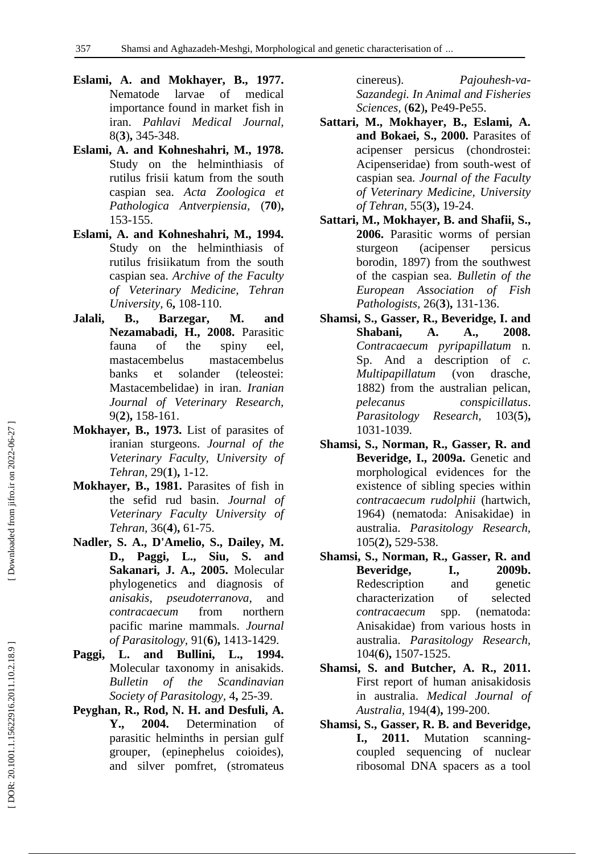- **Eslami, A. and Mokhayer, B., 1977.** Nematode larvae of medical importance found in market fish in iran. *Pahlavi Medical Journal,* 8( **3** ) **,** 345 -348.
- **Eslami, A. and Kohneshahri, M., 1978.** Study on the helminthiasis of rutilus frisii katum from the south caspian sea. *Acta Zoologica et Pathologica Antverpiensia,* (**70** ) **,** 153 -155.
- **Eslami, A. and Kohneshahri, M., 1994.** Study on the helminthiasis of rutilus frisiikatum from the south caspian sea. *Archive of the Faculty of Veterinary Medicine, Tehran University,* 6 **,** 108 -110.
- **Jalali, B., Barzegar, M. and Nezamabadi, H., 2008.** Parasitic fauna of the spiny eel, mastacembelus mastacembelus banks et solander (teleostei: Mastacembelidae) in iran. *Iranian Journal of Veterinary Research,* 9( **2** ) **,** 158 -161.
- **Mokhayer, B., 1973.** List of parasites of iranian sturgeons. *Journal of the Veterinary Faculty, University of Tehran,* 29( **1** ) **,** 1 -12.
- **Mokhayer, B., 1981.** Parasites of fish in the sefid rud basin. *Journal of Veterinary Faculty University of Tehran,* 36( **4** ) **,** 61 -75.
- **Nadler, S. A., D'Amelio, S., Dailey, M. D., Paggi, L., Siu, S. and Sakanari, J. A., 2005.** Molecular phylogenetics and diagnosis of *anisakis*, *pseudoterranova*, and *contracaecum* from northern pacific marine mammals. *Journal of Parasitology,* 91( **6** ) **,** 1413 -1429.
- **Paggi, L. and Bullini, L., 1994.** Molecular taxonomy in anisakids. *Bulletin of the Scandinavian*  Society of Parasitology, 4, 25-39.
- **Peyghan, R., Rod, N. H. and Desfuli, A. Y., 2004.** Determination of parasitic helminths in persian gulf grouper, (epinephelus coioides), and silver pomfret, (stromateus

cinereus). *Pajouhesh -va - Sazandegi. In Animal and Fisheries*  Sciences, (62), Pe49-Pe55.

- **Sattari, M., Mokhayer, B., Eslami, A. and Bokaei, S., 2000.** Parasites of acipenser persicus (chondrostei: Acipenseridae) from south -west of caspian sea. *Journal of the Faculty of Veterinary Medicine, University of Tehran,* 55( **3** ) **,** 19 -24.
- **Sattari, M., Mokhayer, B. and Shafii, S., 2006.** Parasitic worms of persian sturgeon (acipenser persicus borodin, 1897) from the southwest of the caspian sea. *Bulletin of the European Association of Fish Pathologists,* 26( **3** ) **,** 131 -136.
- **Shamsi, S., Gasser, R., Beveridge, I. and Shabani, A. A., 2008.** *Contracaecum pyripapillatum* n. Sp. And a description of *c. Multipapillatum* (von drasche, 1882) from the australian pelican, *pelecanus conspicillatus*. *Parasitology Research,* **5** ) **,** 103 1 -1039.
- **Shamsi, S., Norman, R., Gasser, R. and Beveridge, I., 2009a.** Genetic and morphological evidences for the existence of sibling species within *contracaecum rudolphii* (hartwich, 1964) (nematoda: Anisakidae) in australia. *Parasitology Research,* 105( **2** ) **,** 529 -538.
- **Shamsi, S., Norman, R., Gasser, R. and Beveridge, I., 2009b.** Redescription and genetic characterization of selected *contracaecum* spp. (nematoda: Anisakidae) from various hosts in australia. *Parasitology Research,* 104( **6** ) **,** 1507 -1525.
- **Shamsi, S. and Butcher, A. R., 2011.** First report of human anisakidosis in australia. *Medical Journal of Australia,* 194( **4** ) **,** 199 -200.
- **Shamsi, S., Gasser, R. B. and Beveridge, I., 2011.** Mutation scanning coupled sequencing of nuclear ribosomal DNA spacers as a tool